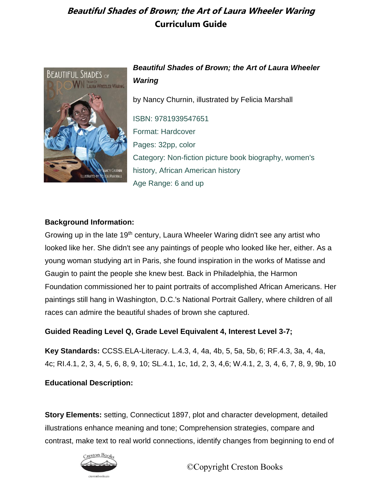

### *Beautiful Shades of Brown; the Art of Laura Wheeler Waring*

by Nancy Churnin, illustrated by Felicia Marshall

ISBN: 9781939547651 Format: Hardcover Pages: 32pp, color Category: Non-fiction picture book biography, women's history, African American history Age Range: 6 and up

#### **Background Information:**

Growing up in the late 19<sup>th</sup> century, Laura Wheeler Waring didn't see any artist who looked like her. She didn't see any paintings of people who looked like her, either. As a young woman studying art in Paris, she found inspiration in the works of Matisse and Gaugin to paint the people she knew best. Back in Philadelphia, the Harmon Foundation commissioned her to paint portraits of accomplished African Americans. Her paintings still hang in Washington, D.C.'s National Portrait Gallery, where children of all races can admire the beautiful shades of brown she captured.

#### **Guided Reading Level Q, Grade Level Equivalent 4, Interest Level 3-7;**

**Key Standards:** CCSS.ELA-Literacy. L.4.3, 4, 4a, 4b, 5, 5a, 5b, 6; RF.4.3, 3a, 4, 4a, 4c; RI.4.1, 2, 3, 4, 5, 6, 8, 9, 10; SL.4.1, 1c, 1d, 2, 3, 4,6; W.4.1, 2, 3, 4, 6, 7, 8, 9, 9b, 10

**Educational Description:** 

**Story Elements:** setting, Connecticut 1897, plot and character development, detailed illustrations enhance meaning and tone; Comprehension strategies, compare and contrast, make text to real world connections, identify changes from beginning to end of

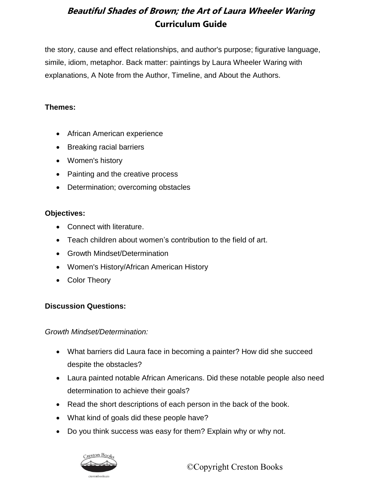the story, cause and effect relationships, and author's purpose; figurative language, simile, idiom, metaphor. Back matter: paintings by Laura Wheeler Waring with explanations, A Note from the Author, Timeline, and About the Authors.

### **Themes:**

- African American experience
- Breaking racial barriers
- Women's history
- Painting and the creative process
- Determination; overcoming obstacles

### **Objectives:**

- Connect with literature.
- Teach children about women's contribution to the field of art.
- Growth Mindset/Determination
- Women's History/African American History
- Color Theory

### **Discussion Questions:**

*Growth Mindset/Determination:*

- What barriers did Laura face in becoming a painter? How did she succeed despite the obstacles?
- Laura painted notable African Americans. Did these notable people also need determination to achieve their goals?
- Read the short descriptions of each person in the back of the book.
- What kind of goals did these people have?
- Do you think success was easy for them? Explain why or why not.

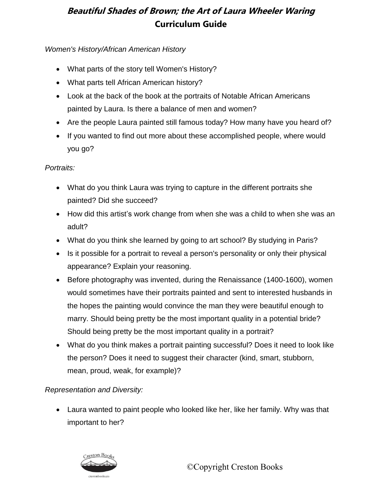### *Women's History/African American History*

- What parts of the story tell Women's History?
- What parts tell African American history?
- Look at the back of the book at the portraits of Notable African Americans painted by Laura. Is there a balance of men and women?
- Are the people Laura painted still famous today? How many have you heard of?
- If you wanted to find out more about these accomplished people, where would you go?

### *Portraits:*

- What do you think Laura was trying to capture in the different portraits she painted? Did she succeed?
- How did this artist's work change from when she was a child to when she was an adult?
- What do you think she learned by going to art school? By studying in Paris?
- Is it possible for a portrait to reveal a person's personality or only their physical appearance? Explain your reasoning.
- Before photography was invented, during the Renaissance (1400-1600), women would sometimes have their portraits painted and sent to interested husbands in the hopes the painting would convince the man they were beautiful enough to marry. Should being pretty be the most important quality in a potential bride? Should being pretty be the most important quality in a portrait?
- What do you think makes a portrait painting successful? Does it need to look like the person? Does it need to suggest their character (kind, smart, stubborn, mean, proud, weak, for example)?

### *Representation and Diversity:*

 Laura wanted to paint people who looked like her, like her family. Why was that important to her?

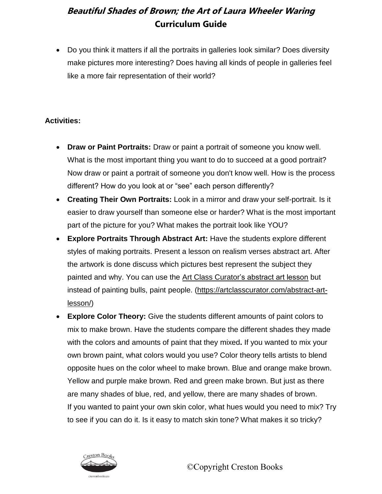Do you think it matters if all the portraits in galleries look similar? Does diversity make pictures more interesting? Does having all kinds of people in galleries feel like a more fair representation of their world?

### **Activities:**

- **Draw or Paint Portraits:** Draw or paint a portrait of someone you know well. What is the most important thing you want to do to succeed at a good portrait? Now draw or paint a portrait of someone you don't know well. How is the process different? How do you look at or "see" each person differently?
- **Creating Their Own Portraits:** Look in a mirror and draw your self-portrait. Is it easier to draw yourself than someone else or harder? What is the most important part of the picture for you? What makes the portrait look like YOU?
- **Explore Portraits Through Abstract Art:** Have the students explore different styles of making portraits. Present a lesson on realism verses abstract art. After the artwork is done discuss which pictures best represent the subject they painted and why. You can use the [Art Class Curator's abstract art lesson](https://artclasscurator.com/abstract-art-lesson/) but instead of painting bulls, paint people. [\(https://artclasscurator.com/abstract-art](https://artclasscurator.com/abstract-art-lesson/)[lesson/\)](https://artclasscurator.com/abstract-art-lesson/)
- **Explore Color Theory:** Give the students different amounts of paint colors to mix to make brown. Have the students compare the different shades they made with the colors and amounts of paint that they mixed**.** If you wanted to mix your own brown paint, what colors would you use? Color theory tells artists to blend opposite hues on the color wheel to make brown. Blue and orange make brown. Yellow and purple make brown. Red and green make brown. But just as there are many shades of blue, red, and yellow, there are many shades of brown. If you wanted to paint your own skin color, what hues would you need to mix? Try to see if you can do it. Is it easy to match skin tone? What makes it so tricky?

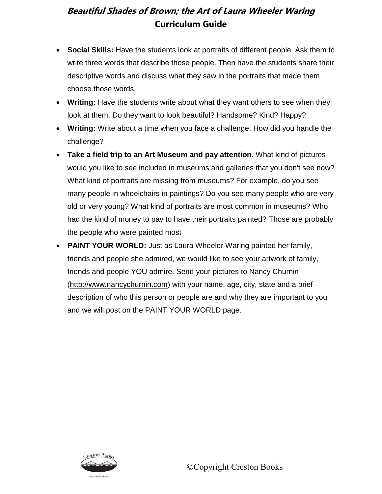- **Social Skills:** Have the students look at portraits of different people. Ask them to write three words that describe those people. Then have the students share their descriptive words and discuss what they saw in the portraits that made them choose those words.
- **Writing:** Have the students write about what they want others to see when they look at them. Do they want to look beautiful? Handsome? Kind? Happy?
- **Writing:** Write about a time when you face a challenge. How did you handle the challenge?
- **Take a field trip to an Art Museum and pay attention.** What kind of pictures would you like to see included in museums and galleries that you don't see now? What kind of portraits are missing from museums? For example, do you see many people in wheelchairs in paintings? Do you see many people who are very old or very young? What kind of portraits are most common in museums? Who had the kind of money to pay to have their portraits painted? Those are probably the people who were painted most
- **PAINT YOUR WORLD:** Just as Laura Wheeler Waring painted her family, friends and people she admired, we would like to see your artwork of family, friends and people YOU admire. Send your pictures to [Nancy Churnin](http://www.nancychurnin.com/) [\(http://www.nancychurnin.com\)](http://www.nancychurnin.com/) with your name, age, city, state and a brief description of who this person or people are and why they are important to you and we will post on the PAINT YOUR WORLD page.

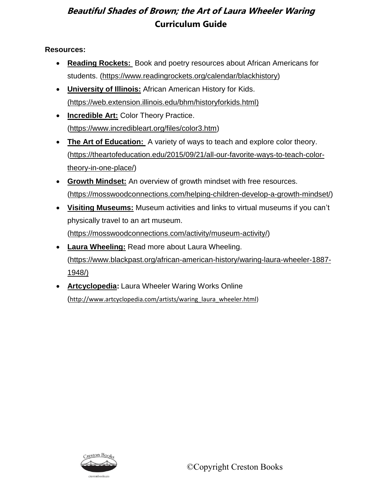### **Resources:**

- **[Reading Rockets:](https://www.readingrockets.org/calendar/blackhistory)** Book and poetry resources about African Americans for students. [\(https://www.readingrockets.org/calendar/blackhistory\)](https://www.readingrockets.org/calendar/blackhistory)
- **[University of Illinois:](https://web.extension.illinois.edu/bhm/historyforkids.html)** African American History for Kids. [\(https://web.extension.illinois.edu/bhm/historyforkids.html\)](https://www.mathsisfun.com/numbers/fibonacci-sequence.html)
- **[Incredible Art:](https://www.incredibleart.org/files/color3.htm)** Color Theory Practice. [\(https://www.incredibleart.org/files/color3.htm\)](https://www.incredibleart.org/files/color3.htm)
- **[The Art of Education:](https://theartofeducation.edu/2015/09/21/all-our-favorite-ways-to-teach-color-theory-in-one-place/)** A variety of ways to teach and explore color theory. [\(https://theartofeducation.edu/2015/09/21/all-our-favorite-ways-to-teach-color](https://theartofeducation.edu/2015/09/21/all-our-favorite-ways-to-teach-color-theory-in-one-place/)[theory-in-one-place/\)](https://theartofeducation.edu/2015/09/21/all-our-favorite-ways-to-teach-color-theory-in-one-place/)
- **[Growth Mindset:](https://mosswoodconnections.com/helping-children-develop-a-growth-mindset/)** An overview of growth mindset with free resources. [\(https://mosswoodconnections.com/helping-children-develop-a-growth-mindset/\)](https://mosswoodconnections.com/helping-children-develop-a-growth-mindset/)
- **[Visiting Museums:](https://mosswoodconnections.com/activity/museum-activity/)** Museum activities and links to virtual museums if you can't physically travel to an art museum. [\(https://mosswoodconnections.com/activity/museum-activity/\)](https://mosswoodconnections.com/activity/museum-activity/)
- **[Laura Wheeling:](https://www.blackpast.org/african-american-history/waring-laura-wheeler-1887-1948/)** Read more about Laura Wheeling. [\(https://www.blackpast.org/african-american-history/waring-laura-wheeler-1887-](https://www.blackpast.org/african-american-history/waring-laura-wheeler-1887-1948/)) [1948/\)](https://www.blackpast.org/african-american-history/waring-laura-wheeler-1887-1948/))
- **[Artcyclopedia:](http://www.artcyclopedia.com/artists/waring_laura_wheeler.html)** Laura Wheeler Waring Works Online ([http://www.artcyclopedia.com/artists/waring\\_laura\\_wheeler.html\)](http://www.artcyclopedia.com/artists/waring_laura_wheeler.html)